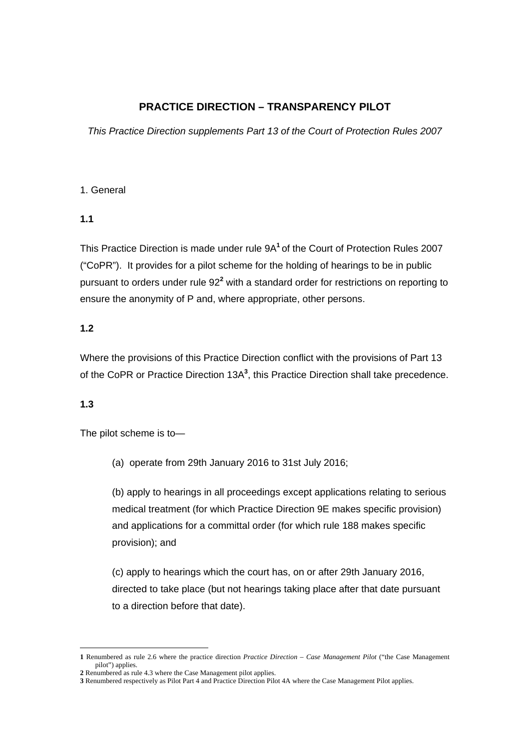# **PRACTICE DIRECTION – TRANSPARENCY PILOT**

*This Practice Direction supplements Part 13 of the Court of Protection Rules 2007* 

### 1. General

### **1.1**

This Practice Direction is made under rule 9A**<sup>1</sup>**of the Court of Protection Rules 2007 ("CoPR"). It provides for a pilot scheme for the holding of hearings to be in public pursuant to orders under rule 92<sup>2</sup> with a standard order for restrictions on reporting to ensure the anonymity of P and, where appropriate, other persons.

### **1.2**

Where the provisions of this Practice Direction conflict with the provisions of Part 13 of the CoPR or Practice Direction 13A<sup>3</sup>, this Practice Direction shall take precedence.

### **1.3**

The pilot scheme is to—

(a) operate from 29th January 2016 to 31st July 2016;

(b) apply to hearings in all proceedings except applications relating to serious medical treatment (for which Practice Direction 9E makes specific provision) and applications for a committal order (for which rule 188 makes specific provision); and

(c) apply to hearings which the court has, on or after 29th January 2016, directed to take place (but not hearings taking place after that date pursuant to a direction before that date).

<sup>1</sup> **1** Renumbered as rule 2.6 where the practice direction *Practice Direction – Case Management Pilot* ("the Case Management pilot") applies.

**<sup>2</sup>** Renumbered as rule 4.3 where the Case Management pilot applies.

**<sup>3</sup>** Renumbered respectively as Pilot Part 4 and Practice Direction Pilot 4A where the Case Management Pilot applies.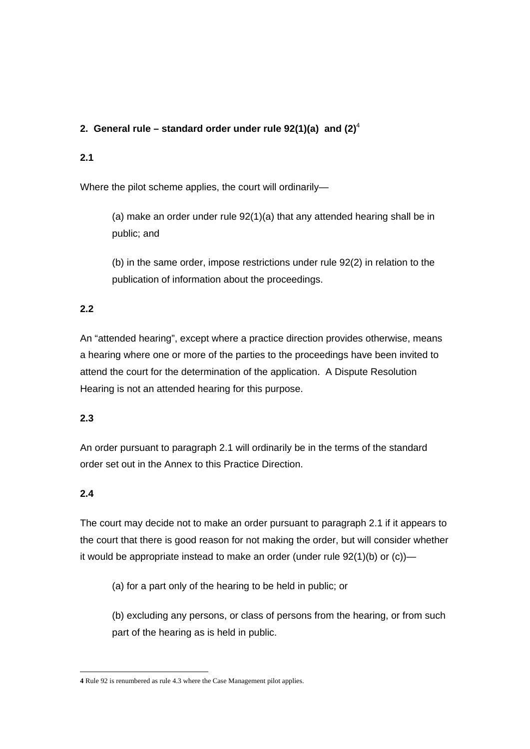### **2. General rule – standard order under rule 92(1)(a) and (2)**<sup>4</sup>

### **2.1**

Where the pilot scheme applies, the court will ordinarily—

(a) make an order under rule 92(1)(a) that any attended hearing shall be in public; and

(b) in the same order, impose restrictions under rule 92(2) in relation to the publication of information about the proceedings.

# **2.2**

An "attended hearing", except where a practice direction provides otherwise, means a hearing where one or more of the parties to the proceedings have been invited to attend the court for the determination of the application. A Dispute Resolution Hearing is not an attended hearing for this purpose.

### **2.3**

An order pursuant to paragraph 2.1 will ordinarily be in the terms of the standard order set out in the Annex to this Practice Direction.

# **2.4**

The court may decide not to make an order pursuant to paragraph 2.1 if it appears to the court that there is good reason for not making the order, but will consider whether it would be appropriate instead to make an order (under rule  $92(1)(b)$  or (c))—

(a) for a part only of the hearing to be held in public; or

(b) excluding any persons, or class of persons from the hearing, or from such part of the hearing as is held in public.

<sup>1</sup> **4** Rule 92 is renumbered as rule 4.3 where the Case Management pilot applies.